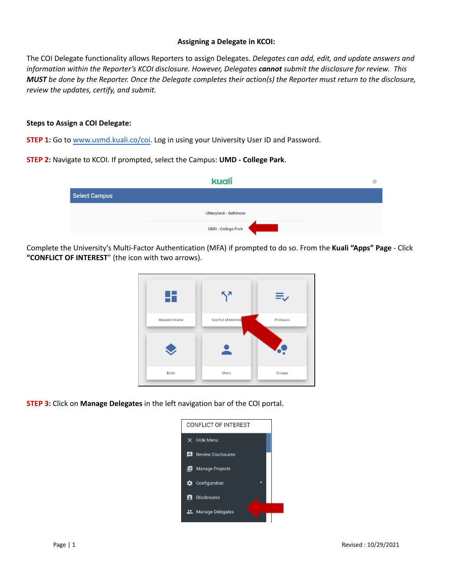## **Assigning a Delegate in KCOI:**

The COI Delegate functionality allows Reporters to assign Delegates. *Delegates can add, edit, and update answers and information within the Reporter's KCOI disclosure. However, Delegates cannot submit the disclosure for review. This MUST be done by the Reporter. Once the Delegate completes their action(s) the Reporter must return to the disclosure, review the updates, certify, and submit.*

## **Steps to Assign a COI Delegate:**

**STEP 1:** Go to [www.usmd.kuali.co](https://usmd.kuali.co/coi/)/coi. Log in using your University User ID and Password.

**STEP 2:** Navigate to KCOI. If prompted, select the Campus: **UMD - College Park**.

| kuali                |                              |  |
|----------------------|------------------------------|--|
| <b>Select Campus</b> |                              |  |
|                      | <b>UMaryland - Baltimore</b> |  |
|                      | UMD - College Park           |  |

Complete the University's Multi-Factor Authentication (MFA) if prompted to do so. From the **Kuali "Apps" Page** - Click **"CONFLICT OF INTEREST**" (the icon with two arrows).



**STEP 3:** Click on **Manage Delegates** in the left navigation bar of the COI portal.